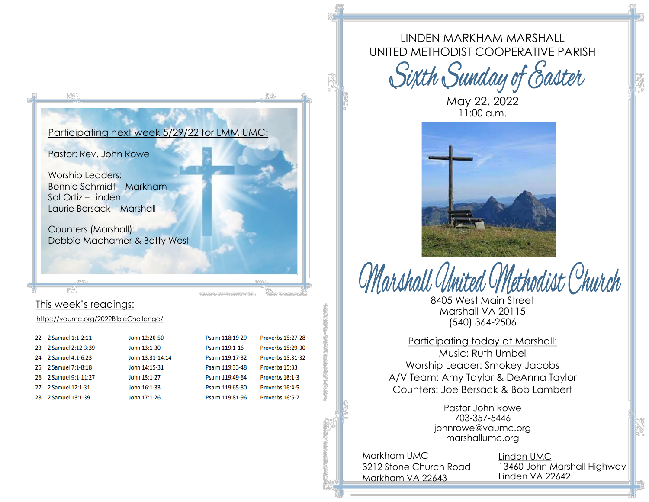#### Participating next week 5/29/22 for LMM UMC:

Pastor: Rev. John Rowe

Worship Leaders: Bonnie Schmidt – Markham Sal Ortiz – Linden Laurie Bersack – Marshall

Counters (Marshall): Debbie Machamer & Betty West

### This week's readings:

<https://vaumc.org/2022BibleChallenge/>

|    | 22 2 Samuel 1:1-2:11  | John 12:20-50    | Psalm 118:19-29 | Proverbs 15:27-28        |
|----|-----------------------|------------------|-----------------|--------------------------|
| 23 | 2 Samuel 2:12-3:39    | John 13:1-30     | Psalm 119:1-16  | <b>Proverbs 15:29-30</b> |
| 24 | 2 Samuel 4:1-6:23     | John 13:31-14:14 | Psalm 119:17-32 | Proverbs 15:31-32        |
|    | 25 2 Samuel 7:1-8:18  | John 14:15-31    | Psalm 119:33-48 | Proverbs 15:33           |
|    | 26 2 Samuel 9:1-11:27 | John 15:1-27     | Psalm 119:49-64 | Proverbs 16:1-3          |
| 27 | 2 Samuel 12:1-31      | John 16:1-33     | Psalm 119:65-80 | Proverbs 16:4-5          |
| 28 | 2 Samuel 13:1-39      | John 17:1-26     | Psalm 119:81-96 | Proverbs 16:6-7          |

LINDEN MARKHAM MARSHALL UNITED METHODIST COOPERATIVE PARISH

Sixth Sunday of Easter

May 22, 2022  $11:00$  a.m.



hodist (<sup>O</sup>hur*ch* 8405 West Main Street Marshall VA 20115 (540) 364-2506

Participating today at Marshall: Music: Ruth Umbel Worship Leader: Smokey Jacobs A/V Team: Amy Taylor & DeAnna Taylor Counters: Joe Bersack & Bob Lambert

> Pastor John Rowe 703-357-5446 johnrowe@vaumc.org marshallumc.org

Markham UMC 3212 Stone Church Road Markham VA 22643

Linden UMC 13460 John Marshall Highway Linden VA 22642